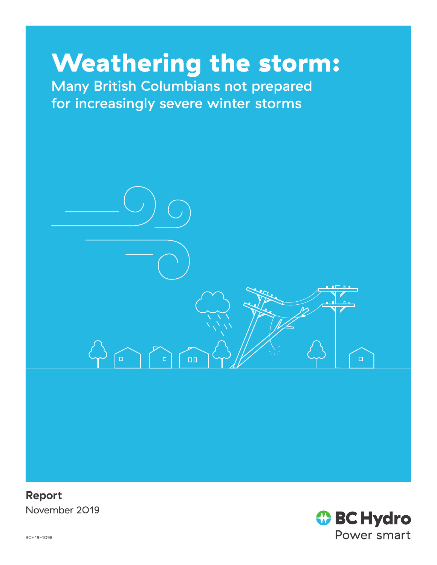# Weathering the storm:

Many British Columbians not prepared for increasingly severe winter storms



**Report** November 2019

*I* BC Hydro Power smart

BCH19-1098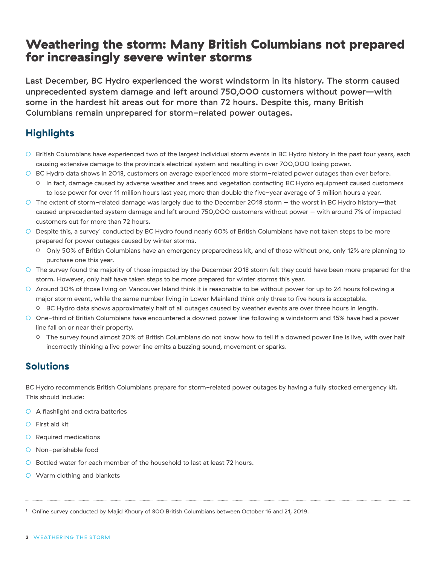# Weathering the storm: Many British Columbians not prepared for increasingly severe winter storms

Last December, BC Hydro experienced the worst windstorm in its history. The storm caused unprecedented system damage and left around 750,000 customers without power—with some in the hardest hit areas out for more than 72 hours. Despite this, many British Columbians remain unprepared for storm-related power outages.

## **Highlights**

- British Columbians have experienced two of the largest individual storm events in BC Hydro history in the past four years, each causing extensive damage to the province's electrical system and resulting in over 700,000 losing power.
- BC Hydro data shows in 2O18, customers on average experienced more storm-related power outages than ever before.
	- In fact, damage caused by adverse weather and trees and vegetation contacting BC Hydro equipment caused customers to lose power for over 11 million hours last year, more than double the five-year average of 5 million hours a year.
- The extent of storm-related damage was largely due to the December 2018 storm the worst in BC Hydro history—that caused unprecedented system damage and left around 750,000 customers without power – with around 7% of impacted customers out for more than 72 hours.
- $\circ$  Despite this, a survey<sup>1</sup> conducted by BC Hydro found nearly 60% of British Columbians have not taken steps to be more prepared for power outages caused by winter storms.
	- Only 50% of British Columbians have an emergency preparedness kit, and of those without one, only 12% are planning to purchase one this year.
- The survey found the majority of those impacted by the December 2018 storm felt they could have been more prepared for the storm. However, only half have taken steps to be more prepared for winter storms this year.
- Around 30% of those living on Vancouver Island think it is reasonable to be without power for up to 24 hours following a major storm event, while the same number living in Lower Mainland think only three to five hours is acceptable.
	- BC Hydro data shows approximately half of all outages caused by weather events are over three hours in length.
- One-third of British Columbians have encountered a downed power line following a windstorm and 15% have had a power line fall on or near their property.
	- The survey found almost 20% of British Columbians do not know how to tell if a downed power line is live, with over half incorrectly thinking a live power line emits a buzzing sound, movement or sparks.

#### **Solutions**

BC Hydro recommends British Columbians prepare for storm-related power outages by having a fully stocked emergency kit. This should include:

- A flashlight and extra batteries
- First aid kit
- Required medications
- Non-perishable food
- Bottled water for each member of the household to last at least 72 hours.
- Warm clothing and blankets

<sup>1</sup> Online survey conducted by Majid Khoury of 800 British Columbians between October 16 and 21, 2019.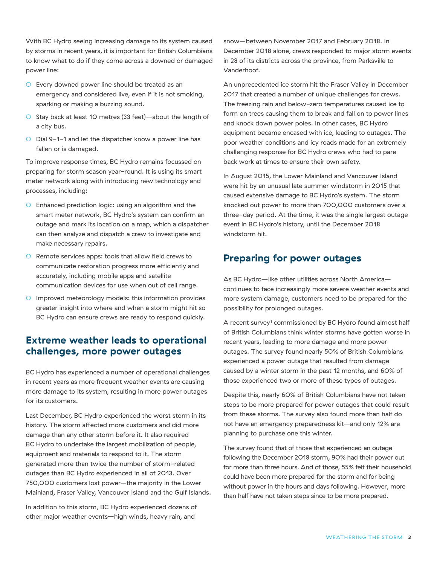With BC Hydro seeing increasing damage to its system caused by storms in recent years, it is important for British Columbians to know what to do if they come across a downed or damaged power line:

- Every downed power line should be treated as an emergency and considered live, even if it is not smoking, sparking or making a buzzing sound.
- Stay back at least 10 metres (33 feet)—about the length of a city bus.
- Dial 9-1-1 and let the dispatcher know a power line has fallen or is damaged.

To improve response times, BC Hydro remains focussed on preparing for storm season year-round. It is using its smart meter network along with introducing new technology and processes, including:

- Enhanced prediction logic: using an algorithm and the smart meter network, BC Hydro's system can confirm an outage and mark its location on a map, which a dispatcher can then analyze and dispatch a crew to investigate and make necessary repairs.
- Remote services apps: tools that allow field crews to communicate restoration progress more efficiently and accurately, including mobile apps and satellite communication devices for use when out of cell range.
- Improved meteorology models: this information provides greater insight into where and when a storm might hit so BC Hydro can ensure crews are ready to respond quickly.

### **Extreme weather leads to operational challenges, more power outages**

BC Hydro has experienced a number of operational challenges in recent years as more frequent weather events are causing more damage to its system, resulting in more power outages for its customers.

Last December, BC Hydro experienced the worst storm in its history. The storm affected more customers and did more damage than any other storm before it. It also required BC Hydro to undertake the largest mobilization of people, equipment and materials to respond to it. The storm generated more than twice the number of storm-related outages than BC Hydro experienced in all of 2013. Over 750,000 customers lost power—the majority in the Lower Mainland, Fraser Valley, Vancouver Island and the Gulf Islands.

In addition to this storm, BC Hydro experienced dozens of other major weather events—high winds, heavy rain, and

snow—between November 2017 and February 2018. In December 2018 alone, crews responded to major storm events in 28 of its districts across the province, from Parksville to Vanderhoof.

An unprecedented ice storm hit the Fraser Valley in December 2017 that created a number of unique challenges for crews. The freezing rain and below-zero temperatures caused ice to form on trees causing them to break and fall on to power lines and knock down power poles. In other cases, BC Hydro equipment became encased with ice, leading to outages. The poor weather conditions and icy roads made for an extremely challenging response for BC Hydro crews who had to pare back work at times to ensure their own safety.

In August 2015, the Lower Mainland and Vancouver Island were hit by an unusual late summer windstorm in 2015 that caused extensive damage to BC Hydro's system. The storm knocked out power to more than 700,000 customers over a three-day period. At the time, it was the single largest outage event in BC Hydro's history, until the December 2018 windstorm hit.

## **Preparing for power outages**

As BC Hydro—like other utilities across North America continues to face increasingly more severe weather events and more system damage, customers need to be prepared for the possibility for prolonged outages.

A recent survey<sup>1</sup> commissioned by BC Hydro found almost half of British Columbians think winter storms have gotten worse in recent years, leading to more damage and more power outages. The survey found nearly 50% of British Columbians experienced a power outage that resulted from damage caused by a winter storm in the past 12 months, and 60% of those experienced two or more of these types of outages.

Despite this, nearly 60% of British Columbians have not taken steps to be more prepared for power outages that could result from these storms. The survey also found more than half do not have an emergency preparedness kit—and only 12% are planning to purchase one this winter.

The survey found that of those that experienced an outage following the December 2018 storm, 90% had their power out for more than three hours. And of those, 55% felt their household could have been more prepared for the storm and for being without power in the hours and days following. However, more than half have not taken steps since to be more prepared.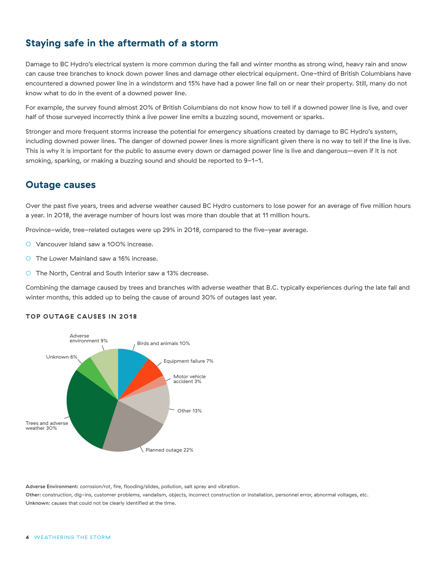## **Staying safe in the aftermath of a storm**

Damage to BC Hydro's electrical system is more common during the fall and winter months as strong wind, heavy rain and snow can cause tree branches to knock down power lines and damage other electrical equipment. One-third of British Columbians have encountered a downed power line in a windstorm and 15% have had a power line fall on or near their property. Still, many do not know what to do in the event of a downed power line.

For example, the survey found almost 20% of British Columbians do not know how to tell if a downed power line is live, and over half of those surveyed incorrectly think a live power line emits a buzzing sound, movement or sparks.

Stronger and more frequent storms increase the potential for emergency situations created by damage to BC Hydro's system, including downed power lines. The danger of downed power lines is more significant given there is no way to tell if the line is live. This is why it is important for the public to assume every down or damaged power line is live and dangerous—even if it is not smoking, sparking, or making a buzzing sound and should be reported to 9-1-1.

#### **Outage causes**

Over the past five years, trees and adverse weather caused BC Hydro customers to lose power for an average of five million hours a year. In 2018, the average number of hours lost was more than double that at 11 million hours.

Province-wide, tree-related outages were up 29% in 2018, compared to the five-year average.

- Vancouver Island saw a 100% increase.
- The Lower Mainland saw a 16% increase.
- O The North, Central and South Interior saw a 13% decrease.

Combining the damage caused by trees and branches with adverse weather that B.C. typically experiences during the late fall and winter months, this added up to being the cause of around 30% of outages last year.

#### **TOP OUTAGE CAUSES IN 2018**



Adverse Environment: corrosion/rot, fire, flooding/slides, pollution, salt spray and vibration.

Other: construction, dig-ins, customer problems, vandalism, objects, incorrect construction or installation, personnel error, abnormal voltages, etc. Unknown: causes that could not be clearly identified at the time.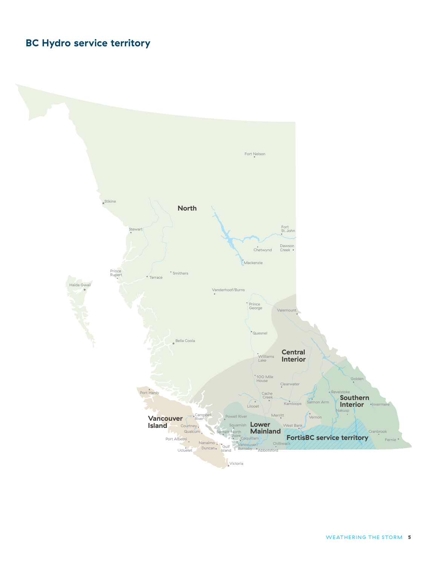## **BC Hydro service territory**

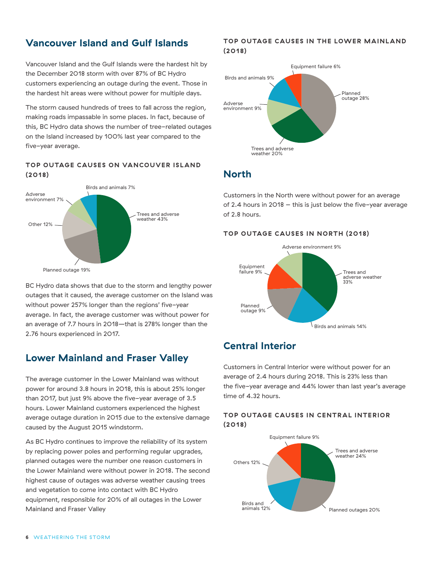### **Vancouver Island and Gulf Islands**

Vancouver Island and the Gulf Islands were the hardest hit by the December 2018 storm with over 87% of BC Hydro customers experiencing an outage during the event. Those in the hardest hit areas were without power for multiple days.

The storm caused hundreds of trees to fall across the region, making roads impassable in some places. In fact, because of this, BC Hydro data shows the number of tree-related outages on the Island increased by 100% last year compared to the five-year average.

#### **TOP OUTAGE CAUSES ON VANCOUVER ISLAND (2018)**



BC Hydro data shows that due to the storm and lengthy power outages that it caused, the average customer on the Island was without power 257% longer than the regions' five-year average. In fact, the average customer was without power for an average of 7.7 hours in 2018—that is 278% longer than the 2.76 hours experienced in 2017.

## **Lower Mainland and Fraser Valley**

The average customer in the Lower Mainland was without power for around 3.8 hours in 2018, this is about 25% longer than 2017, but just 9% above the five-year average of 3.5 hours. Lower Mainland customers experienced the highest average outage duration in 2015 due to the extensive damage caused by the August 2015 windstorm.

As BC Hydro continues to improve the reliability of its system by replacing power poles and performing regular upgrades, planned outages were the number one reason customers in the Lower Mainland were without power in 2018. The second highest cause of outages was adverse weather causing trees and vegetation to come into contact with BC Hydro equipment, responsible for 20% of all outages in the Lower Mainland and Fraser Valley

#### **TOP OUTAGE CAUSES IN THE LOWER MAINLAND (2018)**



### **North**

Customers in the North were without power for an average of 2.4 hours in 2018 – this is just below the five-year average of 2.8 hours.

#### **TOP OUTAGE CAUSES IN NORTH (2018)**



## **Central Interior**

Customers in Central Interior were without power for an average of 2.4 hours during 2018. This is 23% less than the five-year average and 44% lower than last year's average time of 4.32 hours.

#### **TOP OUTAGE CAUSES IN CENTRAL INTERIOR (2018)**

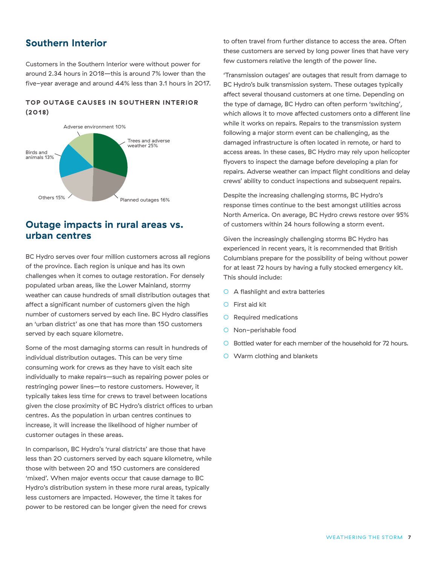#### **Southern Interior**

Customers in the Southern Interior were without power for around 2.34 hours in 2018—this is around 7% lower than the five-year average and around 44% less than 3.1 hours in 2017.

#### **TOP OUTAGE CAUSES IN SOUTHERN INTERIOR (2018)**



#### **Outage impacts in rural areas vs. urban centres**

BC Hydro serves over four million customers across all regions of the province. Each region is unique and has its own challenges when it comes to outage restoration. For densely populated urban areas, like the Lower Mainland, stormy weather can cause hundreds of small distribution outages that affect a significant number of customers given the high number of customers served by each line. BC Hydro classifies an 'urban district' as one that has more than 150 customers served by each square kilometre.

Some of the most damaging storms can result in hundreds of individual distribution outages. This can be very time consuming work for crews as they have to visit each site individually to make repairs—such as repairing power poles or restringing power lines—to restore customers. However, it typically takes less time for crews to travel between locations given the close proximity of BC Hydro's district offices to urban centres. As the population in urban centres continues to increase, it will increase the likelihood of higher number of customer outages in these areas.

In comparison, BC Hydro's 'rural districts' are those that have less than 20 customers served by each square kilometre, while those with between 20 and 150 customers are considered 'mixed'. When major events occur that cause damage to BC Hydro's distribution system in these more rural areas, typically less customers are impacted. However, the time it takes for power to be restored can be longer given the need for crews

to often travel from further distance to access the area. Often these customers are served by long power lines that have very few customers relative the length of the power line.

'Transmission outages' are outages that result from damage to BC Hydro's bulk transmission system. These outages typically affect several thousand customers at one time. Depending on the type of damage, BC Hydro can often perform 'switching', which allows it to move affected customers onto a different line while it works on repairs. Repairs to the transmission system following a major storm event can be challenging, as the damaged infrastructure is often located in remote, or hard to access areas. In these cases, BC Hydro may rely upon helicopter flyovers to inspect the damage before developing a plan for repairs. Adverse weather can impact flight conditions and delay crews' ability to conduct inspections and subsequent repairs.

Despite the increasing challenging storms, BC Hydro's response times continue to the best amongst utilities across North America. On average, BC Hydro crews restore over 95% of customers within 24 hours following a storm event.

Given the increasingly challenging storms BC Hydro has experienced in recent years, it is recommended that British Columbians prepare for the possibility of being without power for at least 72 hours by having a fully stocked emergency kit. This should include:

- A flashlight and extra batteries
- First aid kit
- Required medications
- O Non-perishable food
- Bottled water for each member of the household for 72 hours.
- Warm clothing and blankets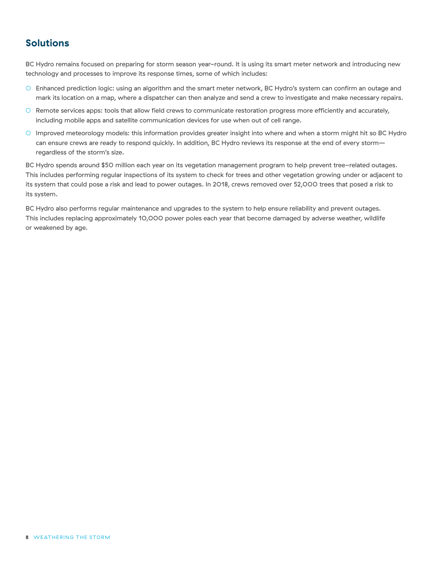#### **Solutions**

BC Hydro remains focused on preparing for storm season year-round. It is using its smart meter network and introducing new technology and processes to improve its response times, some of which includes:

- Enhanced prediction logic: using an algorithm and the smart meter network, BC Hydro's system can confirm an outage and mark its location on a map, where a dispatcher can then analyze and send a crew to investigate and make necessary repairs.
- Remote services apps: tools that allow field crews to communicate restoration progress more efficiently and accurately, including mobile apps and satellite communication devices for use when out of cell range.
- Improved meteorology models: this information provides greater insight into where and when a storm might hit so BC Hydro can ensure crews are ready to respond quickly. In addition, BC Hydro reviews its response at the end of every storm regardless of the storm's size.

BC Hydro spends around \$50 million each year on its vegetation management program to help prevent tree-related outages. This includes performing regular inspections of its system to check for trees and other vegetation growing under or adjacent to its system that could pose a risk and lead to power outages. In 2018, crews removed over 52,000 trees that posed a risk to its system.

BC Hydro also performs regular maintenance and upgrades to the system to help ensure reliability and prevent outages. This includes replacing approximately 10,000 power poles each year that become damaged by adverse weather, wildlife or weakened by age.